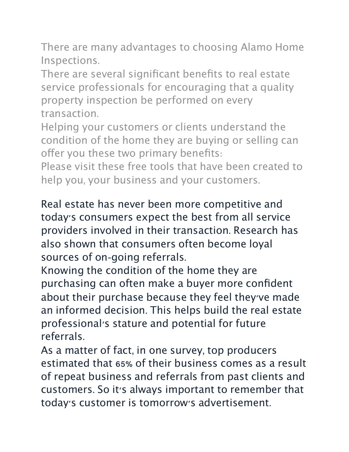There are many advantages to choosing Alamo Home Inspections.

There are several significant benefits to real estate service professionals for encouraging that a quality property inspection be performed on every transaction.

Helping your customers or clients understand the condition of the home they are buying or selling can offer you these two primary benefits:

Please visit these free tools that have been created to help you, your business and your customers.

Real estate has never been more competitive and today's consumers expect the best from all service providers involved in their transaction. Research has also shown that consumers often become loyal sources of on-going referrals.

Knowing the condition of the home they are purchasing can often make a buyer more confident about their purchase because they feel they've made an informed decision. This helps build the real estate professional's stature and potential for future referrals.

As a matter of fact, in one survey, top producers estimated that 65% of their business comes as a result of repeat business and referrals from past clients and customers. So it's always important to remember that today's customer is tomorrow's advertisement.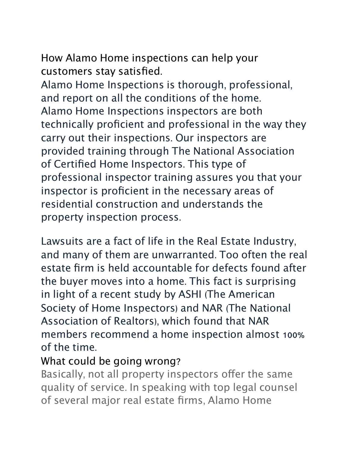How Alamo Home inspections can help your

customers stay satisfied. Alamo Home Inspections is thorough, professional, and report on all the conditions of the home. Alamo Home Inspections inspectors are both technically proficient and professional in the way they carry out their inspections. Our inspectors are provided training through The National Association of Certified Home Inspectors. This type of professional inspector training assures you that your inspector is proficient in the necessary areas of residential construction and understands the property inspection process.

Lawsuits are a fact of life in the Real Estate Industry, and many of them are unwarranted. Too often the real estate firm is held accountable for defects found after the buyer moves into a home. This fact is surprising in light of a recent study by ASHI (The American Society of Home Inspectors) and NAR (The National Association of Realtors), which found that NAR members recommend a home inspection almost 100% of the time.

## What could be going wrong?

Basically, not all property inspectors offer the same quality of service. In speaking with top legal counsel of several major real estate firms, Alamo Home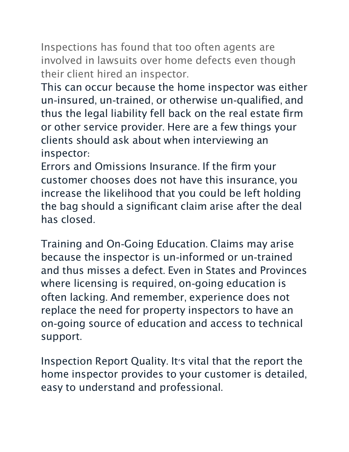Inspections has found that too often agents are involved in lawsuits over home defects even though their client hired an inspector.

This can occur because the home inspector was either un-insured, un-trained, or otherwise un-qualified, and thus the legal liability fell back on the real estate firm or other service provider. Here are a few things your clients should ask about when interviewing an inspector:

Errors and Omissions Insurance. If the firm your customer chooses does not have this insurance, you increase the likelihood that you could be left holding the bag should a significant claim arise after the deal has closed.

Training and On-Going Education. Claims may arise because the inspector is un-informed or un-trained and thus misses a defect. Even in States and Provinces where licensing is required, on-going education is often lacking. And remember, experience does not replace the need for property inspectors to have an on-going source of education and access to technical support.

Inspection Report Quality. It's vital that the report the home inspector provides to your customer is detailed, easy to understand and professional.